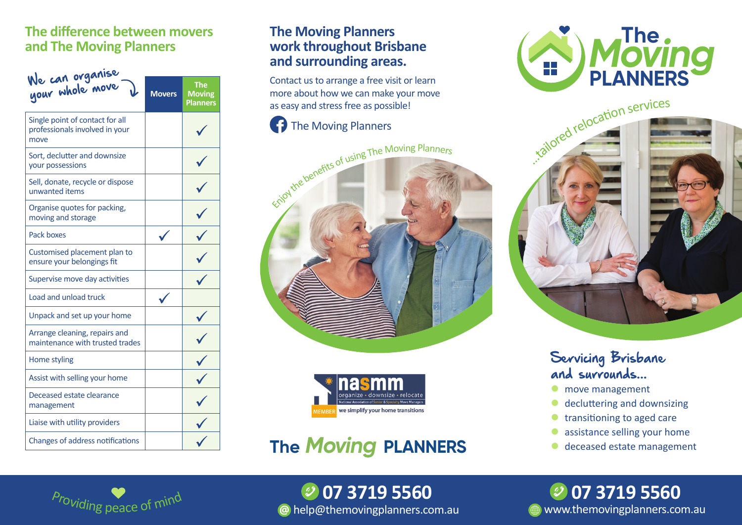#### **The difference between movers and The Moving Planners**

| We can organise<br>your whole move                                        | <b>Movers</b> | The<br><b>Moving</b><br><b>Planners</b> |
|---------------------------------------------------------------------------|---------------|-----------------------------------------|
| Single point of contact for all<br>professionals involved in your<br>move |               |                                         |
| Sort, declutter and downsize<br>your possessions                          |               |                                         |
| Sell, donate, recycle or dispose<br>unwanted items                        |               |                                         |
| Organise quotes for packing,<br>moving and storage                        |               |                                         |
| Pack boxes                                                                |               |                                         |
| Customised placement plan to<br>ensure your belongings fit                |               |                                         |
| Supervise move day activities                                             |               |                                         |
| Load and unload truck                                                     |               |                                         |
| Unpack and set up your home                                               |               |                                         |
| Arrange cleaning, repairs and<br>maintenance with trusted trades          |               |                                         |
| Home styling                                                              |               |                                         |
| Assist with selling your home                                             |               |                                         |
| Deceased estate clearance<br>management                                   |               |                                         |
| Liaise with utility providers                                             |               |                                         |
| Changes of address notifications                                          |               |                                         |

#### **The Moving Planners work throughout Brisbane and surrounding areas.**

Contact us to arrange a free visit or learn more about how we can make your move as easy and stress free as possible!

### The Moving Planners





## **The** *Moving* **PLANNERS**





### Servicing Brisbane and surrounds...

- move management
- decluttering and downsizing
- transitioning to aged care
- assistance selling your home
- deceased estate management



 help@themovingplanners.com.au  **07 3719 5560**

**WWW.themovingplanners.com.au 07 3719 5560**